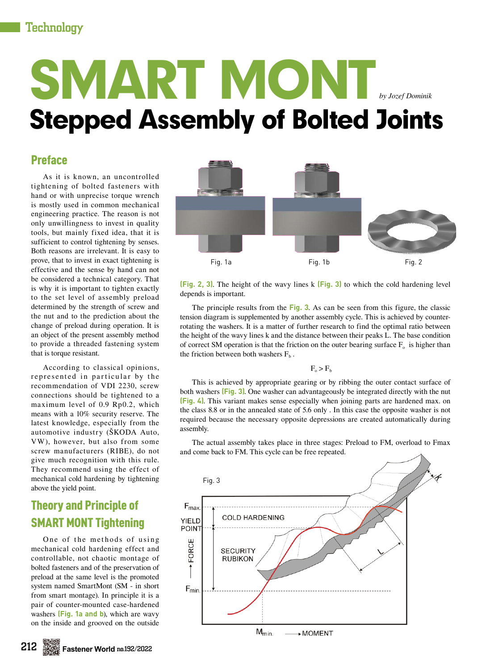# Technology

# SMART MONT Stepped Assembly of Bolted Joints *by Jozef Dominik*

# Preface

As it is known, an uncontrolled tightening of bolted fasteners with hand or with unprecise torque wrench is mostly used in common mechanical engineering practice. The reason is not only unwillingness to invest in quality tools, but mainly fixed idea, that it is sufficient to control tightening by senses. Both reasons are irrelevant. It is easy to prove, that to invest in exact tightening is effective and the sense by hand can not be considered a technical category. That is why it is important to tighten exactly to the set level of assembly preload determined by the strength of screw and the nut and to the prediction about the change of preload during operation. It is an object of the present assembly method to provide a threaded fastening system that is torque resistant.

According to classical opinions, represented in particular by the recommendation of VDI 2230, screw connections should be tightened to a maximum level of 0.9 Rp0.2, which means with a 10% security reserve. The latest knowledge, especially from the automotive industry (ŠKODA Auto, VW), however, but also from some screw manufacturers (RIBE), do not give much recognition with this rule. They recommend using the effect of mechanical cold hardening by tightening above the yield point.

# Theory and Principle of SMART MONT Tightening

One of the methods of using mechanical cold hardening effect and controllable, not chaotic montage of bolted fasteners and of the preservation of preload at the same level is the promoted system named SmartMont (SM - in short from smart montage). In principle it is a pair of counter-mounted case-hardened washers **(Fig. 1a and b**), which are wavy on the inside and grooved on the outside



**(Fig. 2, 3)**. The height of the wavy lines k **(Fig. 3)** to which the cold hardening level depends is important.

The principle results from the **Fig. 3**. As can be seen from this figure, the classic tension diagram is supplemented by another assembly cycle. This is achieved by counterrotating the washers. It is a matter of further research to find the optimal ratio between the height of the wavy lines k and the distance between their peaks L. The base condition of correct SM operation is that the friction on the outer bearing surface  $F_0$  is higher than the friction between both washers  $F_b$ .

 $F_a > F_b$ 

This is achieved by appropriate gearing or by ribbing the outer contact surface of both washers **(Fig. 3)**. One washer can advantageously be integrated directly with the nut **(Fig. 4)**. This variant makes sense especially when joining parts are hardened max. on the class 8.8 or in the annealed state of 5.6 only . In this case the opposite washer is not required because the necessary opposite depressions are created automatically during assembly.

The actual assembly takes place in three stages: Preload to FM, overload to Fmax and come back to FM. This cycle can be free repeated.